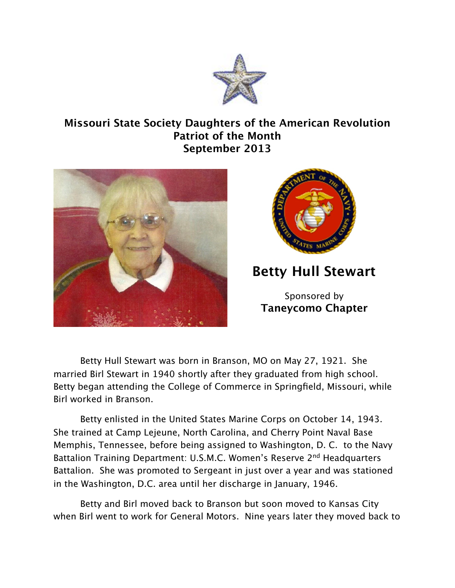

## **Missouri State Society Daughters of the American Revolution Patriot of the Month September 2013**





**Betty Hull Stewart**

Sponsored by **Taneycomo Chapter**

Betty Hull Stewart was born in Branson, MO on May 27, 1921. She married Birl Stewart in 1940 shortly after they graduated from high school. Betty began attending the College of Commerce in Springfield, Missouri, while Birl worked in Branson.

Betty enlisted in the United States Marine Corps on October 14, 1943. She trained at Camp Lejeune, North Carolina, and Cherry Point Naval Base Memphis, Tennessee, before being assigned to Washington, D. C. to the Navy Battalion Training Department: U.S.M.C. Women's Reserve 2nd Headquarters Battalion. She was promoted to Sergeant in just over a year and was stationed in the Washington, D.C. area until her discharge in January, 1946.

Betty and Birl moved back to Branson but soon moved to Kansas City when Birl went to work for General Motors. Nine years later they moved back to